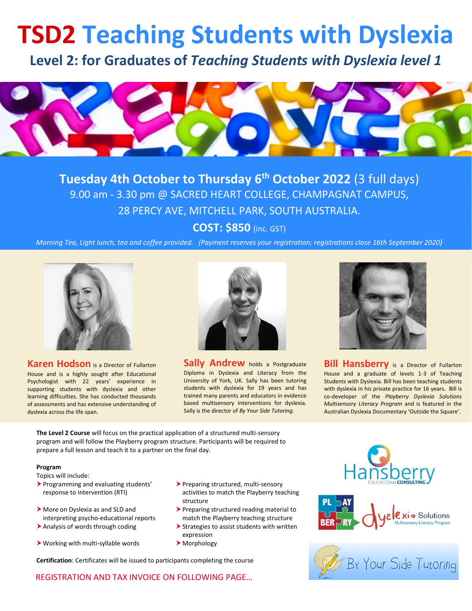## **TSD2 Teaching Students with Dyslexia**

**Level 2: for Graduates of** *Teaching Students with Dyslexia level 1*



**Tuesday 4th October to Thursday 6 th October 2022** (3 full days) 9.00 am - 3.30 pm @ SACRED HEART COLLEGE, CHAMPAGNAT CAMPUS, 28 PERCY AVE, MITCHELL PARK, SOUTH AUSTRALIA.

**COST: \$850** (inc. GST)

*Morning Tea, Light lunch, tea and coffee provided. (Payment reserves your registration; registrations close 16th September 2020)*



**Karen Hodson** is a Director of Fullarton House and is a highly sought after Educational Psychologist with 22 years' experience in supporting students with dyslexia and other learning difficulties. She has conducted thousands of assessments and has extensive understanding of dyslexia across the life span.



**Sally Andrew** holds a Postgraduate Diploma in Dyslexia and Literacy from the University of York, UK. Sally has been tutoring students with dyslexia for 19 years and has trained many parents and educators in evidence based multisensory interventions for dyslexia. Sally is the director of *By Your Side Tutoring.*



**Bill Hansberry** is a Director of Fullarton House and a graduate of levels 1-3 of Teaching Students with Dyslexia. Bill has been teaching students with dyslexia in his private practice for 16 years. Bill is co-developer of the *Playberry Dyslexia Solutions Multisensory Literacy Program* and is featured in the Australian Dyslexia Documentary 'Outside the Square'.

**The Level 2 Course** will focus on the practical application of a structured multi-sensory program and will follow the Playberry program structure. Participants will be required to prepare a full lesson and teach it to a partner on the final day.

## **Program**

Topics will include:

- Programming and evaluating students' response to intervention (RTI)
- More on Dyslexia as and SLD and interpreting psycho-educational reports
- 
- $\triangleright$  Working with multi-syllable words  $\triangleright$  Morphology
- Preparing structured, multi-sensory activities to match the Playberry teaching structure
- Preparing structured reading material to match the Playberry teaching structure
- Analysis of words through coding **Strategies to assist students with written** expression
	-

**Certification**: Certificates will be issued to participants completing the course